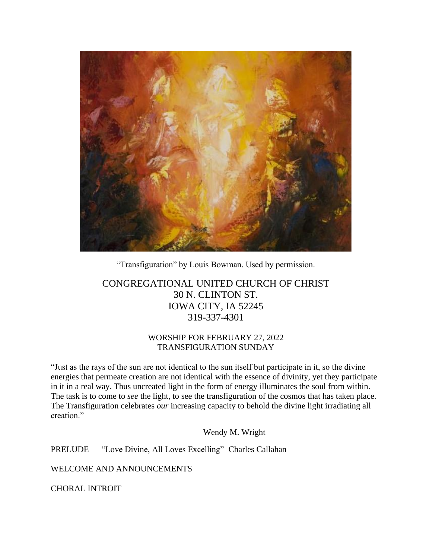

"Transfiguration" by Louis Bowman. Used by permission.

# CONGREGATIONAL UNITED CHURCH OF CHRIST 30 N. CLINTON ST. IOWA CITY, IA 52245 319-337-4301

## WORSHIP FOR FEBRUARY 27, 2022 TRANSFIGURATION SUNDAY

"Just as the rays of the sun are not identical to the sun itself but participate in it, so the divine energies that permeate creation are not identical with the essence of divinity, yet they participate in it in a real way. Thus uncreated light in the form of energy illuminates the soul from within. The task is to come to *see* the light, to see the transfiguration of the cosmos that has taken place. The Transfiguration celebrates *our* increasing capacity to behold the divine light irradiating all creation."

Wendy M. Wright

PRELUDE "Love Divine, All Loves Excelling" Charles Callahan

WELCOME AND ANNOUNCEMENTS

CHORAL INTROIT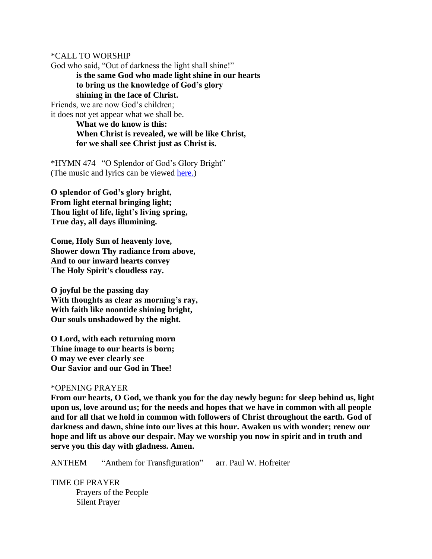\*CALL TO WORSHIP

God who said, "Out of darkness the light shall shine!"

**is the same God who made light shine in our hearts to bring us the knowledge of God's glory shining in the face of Christ.**

Friends, we are now God's children; it does not yet appear what we shall be.

**What we do know is this: When Christ is revealed, we will be like Christ, for we shall see Christ just as Christ is.**

\*HYMN 474 "O Splendor of God's Glory Bright" (The music and lyrics can be viewed [here.\)](https://hymnary.org/hymn/PH1990/474)

**O splendor of God's glory bright, From light eternal bringing light; Thou light of life, light's living spring, True day, all days illumining.**

**Come, Holy Sun of heavenly love, Shower down Thy radiance from above, And to our inward hearts convey The Holy Spirit's cloudless ray.**

**O joyful be the passing day With thoughts as clear as morning's ray, With faith like noontide shining bright, Our souls unshadowed by the night.**

**O Lord, with each returning morn Thine image to our hearts is born; O may we ever clearly see Our Savior and our God in Thee!**

#### \*OPENING PRAYER

**From our hearts, O God, we thank you for the day newly begun: for sleep behind us, light upon us, love around us; for the needs and hopes that we have in common with all people and for all that we hold in common with followers of Christ throughout the earth. God of darkness and dawn, shine into our lives at this hour. Awaken us with wonder; renew our hope and lift us above our despair. May we worship you now in spirit and in truth and serve you this day with gladness. Amen.**

ANTHEM "Anthem for Transfiguration" arr. Paul W. Hofreiter

TIME OF PRAYER Prayers of the People Silent Prayer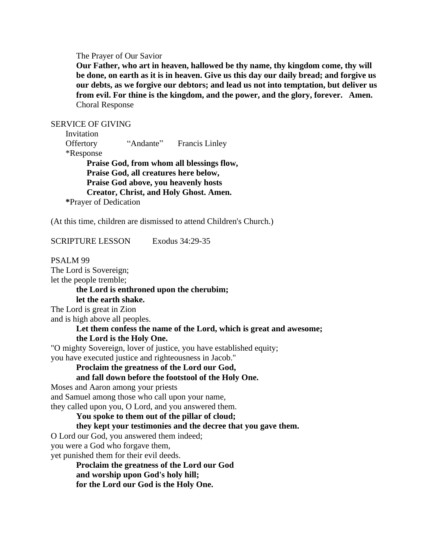The Prayer of Our Savior

**Our Father, who art in heaven, hallowed be thy name, thy kingdom come, thy will be done, on earth as it is in heaven. Give us this day our daily bread; and forgive us our debts, as we forgive our debtors; and lead us not into temptation, but deliver us from evil. For thine is the kingdom, and the power, and the glory, forever. Amen.** Choral Response

SERVICE OF GIVING

 Invitation Offertory "Andante" Francis Linley \*Response **Praise God, from whom all blessings flow, Praise God, all creatures here below, Praise God above, you heavenly hosts Creator, Christ, and Holy Ghost. Amen. \***Prayer of Dedication

(At this time, children are dismissed to attend Children's Church.)

SCRIPTURE LESSON Exodus 34:29-35

PSALM 99 The Lord is Sovereign; let the people tremble; **the Lord is enthroned upon the cherubim; let the earth shake.** The Lord is great in Zion and is high above all peoples. **Let them confess the name of the Lord, which is great and awesome; the Lord is the Holy One.** "O mighty Sovereign, lover of justice, you have established equity; you have executed justice and righteousness in Jacob." **Proclaim the greatness of the Lord our God, and fall down before the footstool of the Holy One.** Moses and Aaron among your priests and Samuel among those who call upon your name, they called upon you, O Lord, and you answered them. **You spoke to them out of the pillar of cloud; they kept your testimonies and the decree that you gave them.** O Lord our God, you answered them indeed; you were a God who forgave them, yet punished them for their evil deeds. **Proclaim the greatness of the Lord our God and worship upon God's holy hill; for the Lord our God is the Holy One.**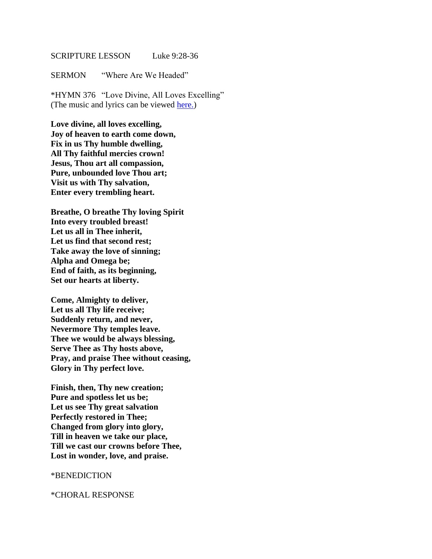#### SCRIPTURE LESSON Luke 9:28-36

SERMON "Where Are We Headed"

\*HYMN 376 "Love Divine, All Loves Excelling" (The music and lyrics can be viewed [here.\)](https://hymnary.org/media/fetch/96255)

**Love divine, all loves excelling, Joy of heaven to earth come down, Fix in us Thy humble dwelling, All Thy faithful mercies crown! Jesus, Thou art all compassion, Pure, unbounded love Thou art; Visit us with Thy salvation, Enter every trembling heart.**

**Breathe, O breathe Thy loving Spirit Into every troubled breast! Let us all in Thee inherit, Let us find that second rest; Take away the love of sinning; Alpha and Omega be; End of faith, as its beginning, Set our hearts at liberty.**

**Come, Almighty to deliver, Let us all Thy life receive; Suddenly return, and never, Nevermore Thy temples leave. Thee we would be always blessing, Serve Thee as Thy hosts above, Pray, and praise Thee without ceasing, Glory in Thy perfect love.**

**Finish, then, Thy new creation; Pure and spotless let us be; Let us see Thy great salvation Perfectly restored in Thee; Changed from glory into glory, Till in heaven we take our place, Till we cast our crowns before Thee, Lost in wonder, love, and praise.**

#### \*BENEDICTION

\*CHORAL RESPONSE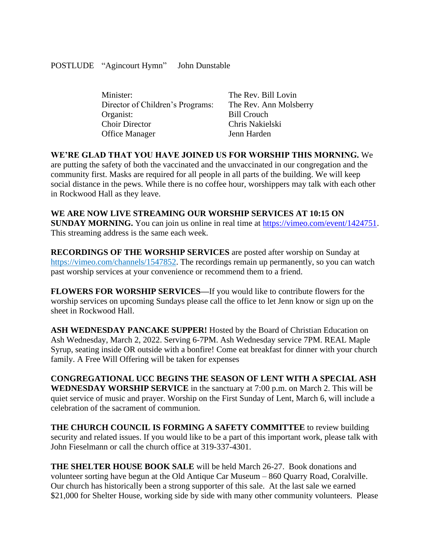### POSTLUDE "Agincourt Hymn" John Dunstable

| Minister:                        | The Rev. Bill Lovin    |
|----------------------------------|------------------------|
| Director of Children's Programs: | The Rev. Ann Molsberry |
| Organist:                        | <b>Bill Crouch</b>     |
| <b>Choir Director</b>            | Chris Nakielski        |
| Office Manager                   | Jenn Harden            |
|                                  |                        |

**WE'RE GLAD THAT YOU HAVE JOINED US FOR WORSHIP THIS MORNING.** We are putting the safety of both the vaccinated and the unvaccinated in our congregation and the community first. Masks are required for all people in all parts of the building. We will keep social distance in the pews. While there is no coffee hour, worshippers may talk with each other in Rockwood Hall as they leave.

### **WE ARE NOW LIVE STREAMING OUR WORSHIP SERVICES AT 10:15 ON**

**SUNDAY MORNING.** You can join us online in real time at [https://vimeo.com/event/1424751.](https://vimeo.com/event/1424751) This streaming address is the same each week.

**RECORDINGS OF THE WORSHIP SERVICES** are posted after worship on Sunday at [https://vimeo.com/channels/1547852.](https://vimeo.com/channels/1547852) The recordings remain up permanently, so you can watch past worship services at your convenience or recommend them to a friend.

**FLOWERS FOR WORSHIP SERVICES—**If you would like to contribute flowers for the worship services on upcoming Sundays please call the office to let Jenn know or sign up on the sheet in Rockwood Hall.

**ASH WEDNESDAY PANCAKE SUPPER!** Hosted by the Board of Christian Education on Ash Wednesday, March 2, 2022. Serving 6-7PM. Ash Wednesday service 7PM. REAL Maple Syrup, seating inside OR outside with a bonfire! Come eat breakfast for dinner with your church family. A Free Will Offering will be taken for expenses

**CONGREGATIONAL UCC BEGINS THE SEASON OF LENT WITH A SPECIAL ASH WEDNESDAY WORSHIP SERVICE** in the sanctuary at 7:00 p.m. on March 2. This will be quiet service of music and prayer. Worship on the First Sunday of Lent, March 6, will include a celebration of the sacrament of communion.

**THE CHURCH COUNCIL IS FORMING A SAFETY COMMITTEE** to review building security and related issues. If you would like to be a part of this important work, please talk with John Fieselmann or call the church office at 319-337-4301.

**THE SHELTER HOUSE BOOK SALE** will be held March 26-27. Book donations and volunteer sorting have begun at the Old Antique Car Museum – 860 Quarry Road, Coralville. Our church has historically been a strong supporter of this sale. At the last sale we earned \$21,000 for Shelter House, working side by side with many other community volunteers. Please